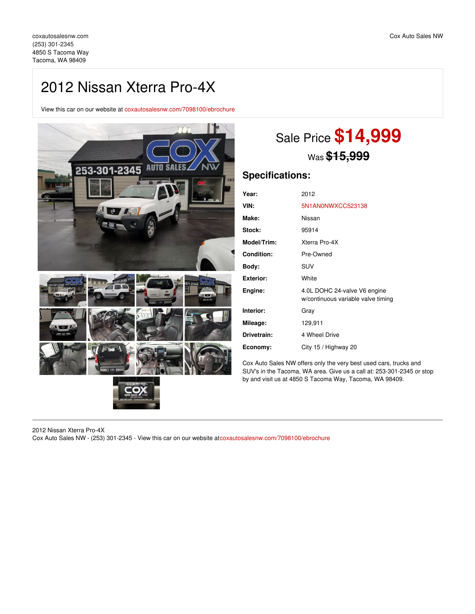# 2012 Nissan Xterra Pro-4X

View this car on our website at [coxautosalesnw.com/7098100/ebrochure](https://coxautosalesnw.com/vehicle/7098100/2012-nissan-xterra-pro-4x-tacoma-wa-98409/7098100/ebrochure)



# Sale Price **\$14,999** Was **\$15,999**

# **Specifications:**

| Year:              | 2012                                                               |
|--------------------|--------------------------------------------------------------------|
| VIN:               | 5N1AN0NWXCC523138                                                  |
| Make:              | Nissan                                                             |
| Stock:             | 95914                                                              |
| <b>Model/Trim:</b> | Xterra Pro-4X                                                      |
| <b>Condition:</b>  | Pre-Owned                                                          |
| Bodv:              | <b>SUV</b>                                                         |
| Exterior:          | White                                                              |
| Engine:            | 4.0L DOHC 24-valve V6 engine<br>w/continuous variable valve timing |
| Interior:          | Gray                                                               |
| Mileage:           | 129,911                                                            |
| Drivetrain:        | 4 Wheel Drive                                                      |
| Economy:           | City 15 / Highway 20                                               |

Cox Auto Sales NW offers only the very best used cars, trucks and SUV's in the Tacoma, WA area. Give us a call at: 253-301-2345 or stop by and visit us at 4850 S Tacoma Way, Tacoma, WA 98409.

2012 Nissan Xterra Pro-4X Cox Auto Sales NW - (253) 301-2345 - View this car on our website at[coxautosalesnw.com/7098100/ebrochure](https://coxautosalesnw.com/vehicle/7098100/2012-nissan-xterra-pro-4x-tacoma-wa-98409/7098100/ebrochure)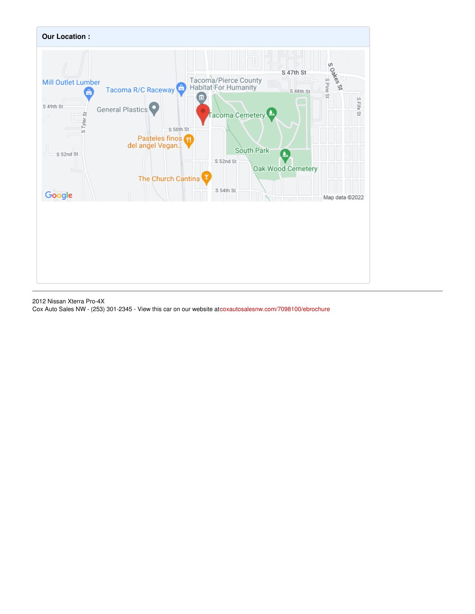

2012 Nissan Xterra Pro-4X Cox Auto Sales NW - (253) 301-2345 - View this car on our website at[coxautosalesnw.com/7098100/ebrochure](https://coxautosalesnw.com/vehicle/7098100/2012-nissan-xterra-pro-4x-tacoma-wa-98409/7098100/ebrochure)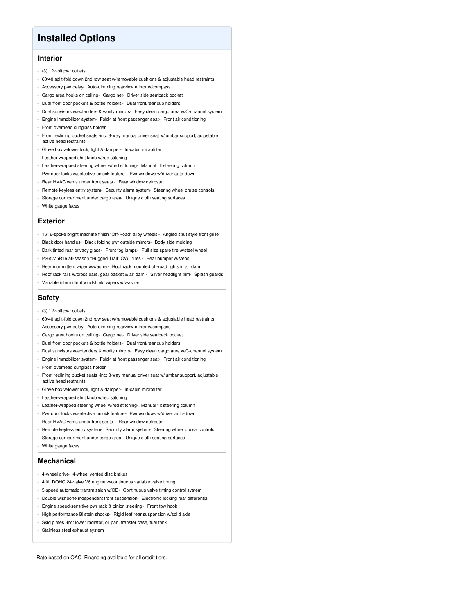## **Installed Options**

## **Interior**

- (3) 12-volt pwr outlets
- 60/40 split-fold down 2nd row seat w/removable cushions & adjustable head restraints
- Accessory pwr delay- Auto-dimming rearview mirror w/compass
- Cargo area hooks on ceiling- Cargo net- Driver side seatback pocket
- Dual front door pockets & bottle holders Dual front/rear cup holders
- Dual sunvisors w/extenders & vanity mirrors- Easy clean cargo area w/C-channel system
- Engine immobilizer system- Fold-flat front passenger seat- Front air conditioning
- Front overhead sunglass holder
- Front reclining bucket seats -inc: 8-way manual driver seat w/lumbar support, adjustable active head restraints
- Glove box w/lower lock, light & damper- In-cabin microfilter
- Leather-wrapped shift knob w/red stitching
- Leather-wrapped steering wheel w/red stitching- Manual tilt steering column
- Pwr door locks w/selective unlock feature- Pwr windows w/driver auto-down
- Rear HVAC vents under front seats Rear window defroster
- Remote keyless entry system- Security alarm system- Steering wheel cruise controls
- Storage compartment under cargo area- Unique cloth seating surfaces
- White gauge faces

### **Exterior**

- 16" 6-spoke bright machine finish "Off-Road" alloy wheels Angled strut style front grille
- Black door handles- Black folding pwr outside mirrors- Body side molding
- Dark tinted rear privacy glass- Front fog lamps- Full size spare tire w/steel wheel
- P265/75R16 all-season "Rugged Trail" OWL tires Rear bumper w/steps
- Rear intermittent wiper w/washer- Roof rack mounted off-road lights in air dam
- Roof rack rails w/cross bars, gear basket & air dam Silver headlight trim- Splash guards
- Variable intermittent windshield wipers w/washer

### **Safety**

- (3) 12-volt pwr outlets
- 60/40 split-fold down 2nd row seat w/removable cushions & adjustable head restraints
- Accessory pwr delay- Auto-dimming rearview mirror w/compass
- Cargo area hooks on ceiling- Cargo net- Driver side seatback pocket
- Dual front door pockets & bottle holders Dual front/rear cup holders
- Dual sunvisors w/extenders & vanity mirrors- Easy clean cargo area w/C-channel system
- Engine immobilizer system- Fold-flat front passenger seat- Front air conditioning
- Front overhead sunglass holder
- Front reclining bucket seats -inc: 8-way manual driver seat w/lumbar support, adjustable active head restraints
- Glove box w/lower lock, light & damper- In-cabin microfilter
- Leather-wrapped shift knob w/red stitching
- Leather-wrapped steering wheel w/red stitching- Manual tilt steering column
- Pwr door locks w/selective unlock feature- Pwr windows w/driver auto-down
- Rear HVAC vents under front seats Rear window defroster
- Remote keyless entry system- Security alarm system- Steering wheel cruise controls
- Storage compartment under cargo area- Unique cloth seating surfaces
- White gauge faces

### **Mechanical**

- 4-wheel drive- 4-wheel vented disc brakes
- 4.0L DOHC 24-valve V6 engine w/continuous variable valve timing
- 5-speed automatic transmission w/OD- Continuous valve timing control system
- Double wishbone independent front suspension- Electronic locking rear differential
- Engine speed-sensitive pwr rack & pinion steering- Front tow hook
- High performance Bilstein shocks- Rigid leaf rear suspension w/solid axle
- Skid plates -inc: lower radiator, oil pan, transfer case, fuel tank
- Stainless steel exhaust system

Rate based on OAC. Financing available for all credit tiers.